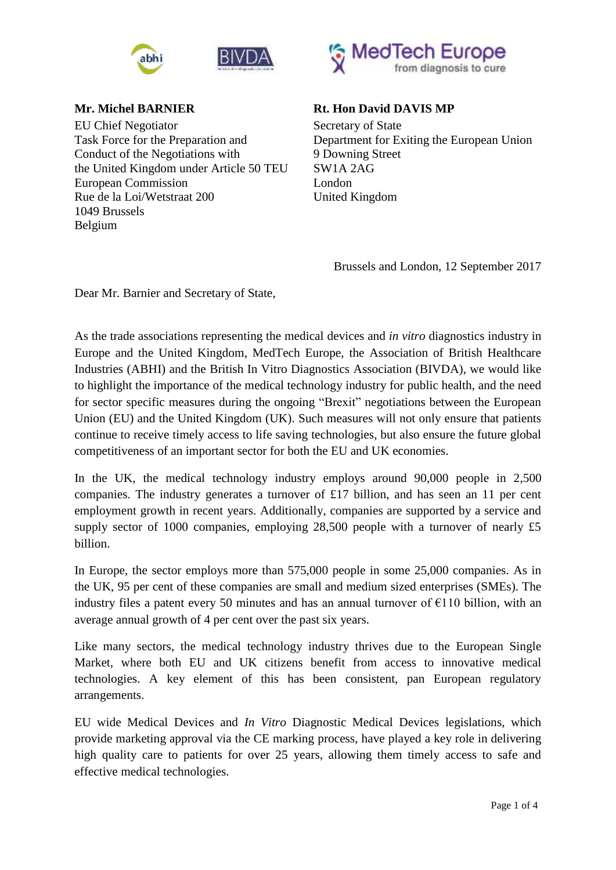



**Mr. Michel BARNIER**  EU Chief Negotiator Task Force for the Preparation and Conduct of the Negotiations with the United Kingdom under Article 50 TEU European Commission Rue de la Loi/Wetstraat 200 1049 Brussels Belgium



## **Rt. Hon David DAVIS MP**

Secretary of State Department for Exiting the European Union 9 Downing Street SW1A 2AG London United Kingdom

Brussels and London, 12 September 2017

Dear Mr. Barnier and Secretary of State,

As the trade associations representing the medical devices and *in vitro* diagnostics industry in Europe and the United Kingdom, MedTech Europe, the Association of British Healthcare Industries (ABHI) and the British In Vitro Diagnostics Association (BIVDA), we would like to highlight the importance of the medical technology industry for public health, and the need for sector specific measures during the ongoing "Brexit" negotiations between the European Union (EU) and the United Kingdom (UK). Such measures will not only ensure that patients continue to receive timely access to life saving technologies, but also ensure the future global competitiveness of an important sector for both the EU and UK economies.

In the UK, the medical technology industry employs around 90,000 people in 2,500 companies. The industry generates a turnover of £17 billion, and has seen an 11 per cent employment growth in recent years. Additionally, companies are supported by a service and supply sector of 1000 companies, employing 28,500 people with a turnover of nearly £5 billion.

In Europe, the sector employs more than 575,000 people in some 25,000 companies. As in the UK, 95 per cent of these companies are small and medium sized enterprises (SMEs). The industry files a patent every 50 minutes and has an annual turnover of  $\epsilon$ 110 billion, with an average annual growth of 4 per cent over the past six years.

Like many sectors, the medical technology industry thrives due to the European Single Market, where both EU and UK citizens benefit from access to innovative medical technologies. A key element of this has been consistent, pan European regulatory arrangements.

EU wide Medical Devices and *In Vitro* Diagnostic Medical Devices legislations, which provide marketing approval via the CE marking process, have played a key role in delivering high quality care to patients for over 25 years, allowing them timely access to safe and effective medical technologies.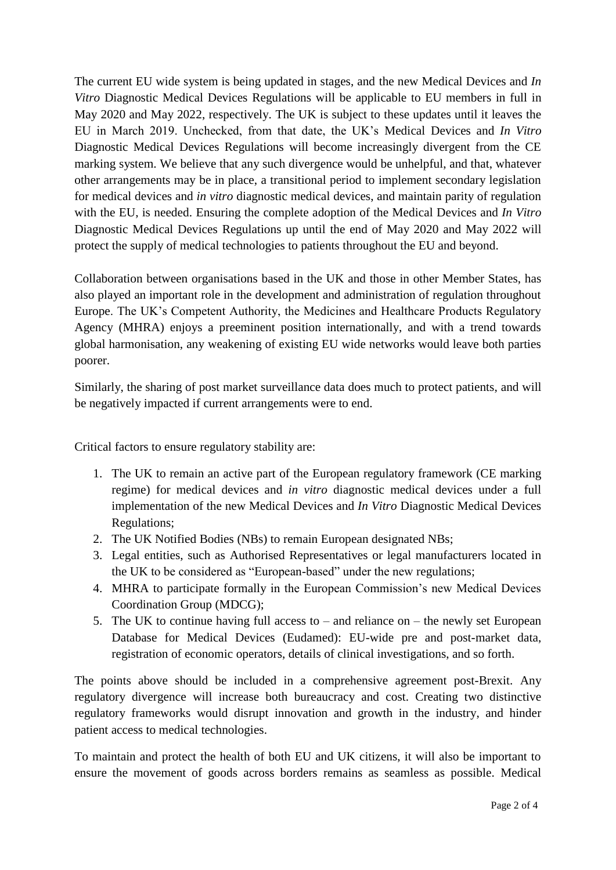The current EU wide system is being updated in stages, and the new Medical Devices and *In Vitro* Diagnostic Medical Devices Regulations will be applicable to EU members in full in May 2020 and May 2022, respectively. The UK is subject to these updates until it leaves the EU in March 2019. Unchecked, from that date, the UK's Medical Devices and *In Vitro* Diagnostic Medical Devices Regulations will become increasingly divergent from the CE marking system. We believe that any such divergence would be unhelpful, and that, whatever other arrangements may be in place, a transitional period to implement secondary legislation for medical devices and *in vitro* diagnostic medical devices, and maintain parity of regulation with the EU, is needed. Ensuring the complete adoption of the Medical Devices and *In Vitro* Diagnostic Medical Devices Regulations up until the end of May 2020 and May 2022 will protect the supply of medical technologies to patients throughout the EU and beyond.

Collaboration between organisations based in the UK and those in other Member States, has also played an important role in the development and administration of regulation throughout Europe. The UK's Competent Authority, the Medicines and Healthcare Products Regulatory Agency (MHRA) enjoys a preeminent position internationally, and with a trend towards global harmonisation, any weakening of existing EU wide networks would leave both parties poorer.

Similarly, the sharing of post market surveillance data does much to protect patients, and will be negatively impacted if current arrangements were to end.

Critical factors to ensure regulatory stability are:

- 1. The UK to remain an active part of the European regulatory framework (CE marking regime) for medical devices and *in vitro* diagnostic medical devices under a full implementation of the new Medical Devices and *In Vitro* Diagnostic Medical Devices Regulations;
- 2. The UK Notified Bodies (NBs) to remain European designated NBs;
- 3. Legal entities, such as Authorised Representatives or legal manufacturers located in the UK to be considered as "European-based" under the new regulations;
- 4. MHRA to participate formally in the European Commission's new Medical Devices Coordination Group (MDCG);
- 5. The UK to continue having full access to and reliance on the newly set European Database for Medical Devices (Eudamed): EU-wide pre and post-market data, registration of economic operators, details of clinical investigations, and so forth.

The points above should be included in a comprehensive agreement post-Brexit. Any regulatory divergence will increase both bureaucracy and cost. Creating two distinctive regulatory frameworks would disrupt innovation and growth in the industry, and hinder patient access to medical technologies.

To maintain and protect the health of both EU and UK citizens, it will also be important to ensure the movement of goods across borders remains as seamless as possible. Medical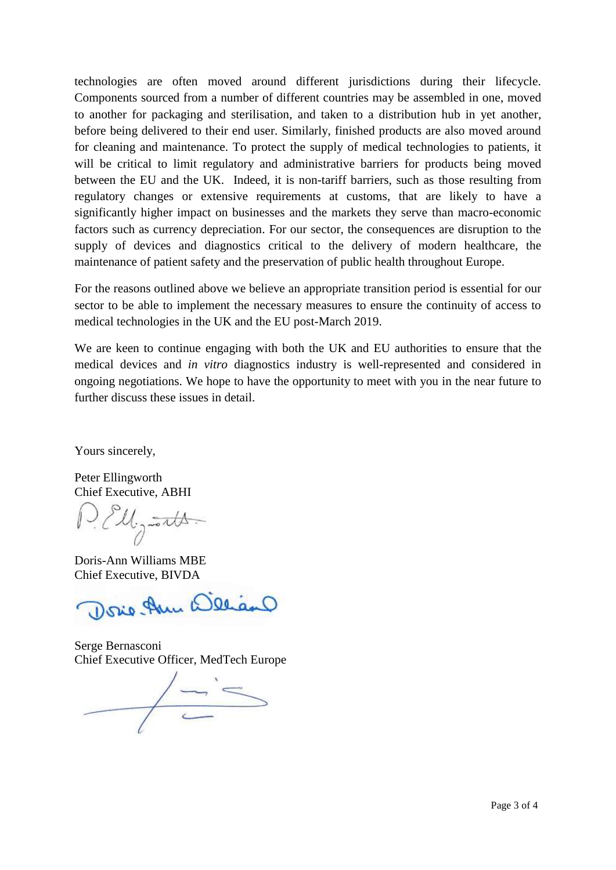technologies are often moved around different jurisdictions during their lifecycle. Components sourced from a number of different countries may be assembled in one, moved to another for packaging and sterilisation, and taken to a distribution hub in yet another, before being delivered to their end user. Similarly, finished products are also moved around for cleaning and maintenance. To protect the supply of medical technologies to patients, it will be critical to limit regulatory and administrative barriers for products being moved between the EU and the UK. Indeed, it is non-tariff barriers, such as those resulting from regulatory changes or extensive requirements at customs, that are likely to have a significantly higher impact on businesses and the markets they serve than macro-economic factors such as currency depreciation. For our sector, the consequences are disruption to the supply of devices and diagnostics critical to the delivery of modern healthcare, the maintenance of patient safety and the preservation of public health throughout Europe.

For the reasons outlined above we believe an appropriate transition period is essential for our sector to be able to implement the necessary measures to ensure the continuity of access to medical technologies in the UK and the EU post-March 2019.

We are keen to continue engaging with both the UK and EU authorities to ensure that the medical devices and *in vitro* diagnostics industry is well-represented and considered in ongoing negotiations. We hope to have the opportunity to meet with you in the near future to further discuss these issues in detail.

Yours sincerely,

Peter Ellingworth Chief Executive, ABHI

1. Ell, <del>torts.</del>

Doris-Ann Williams MBE Chief Executive, BIVDA

Dosie Ann Weliano

Serge Bernasconi Chief Executive Officer, MedTech Europe